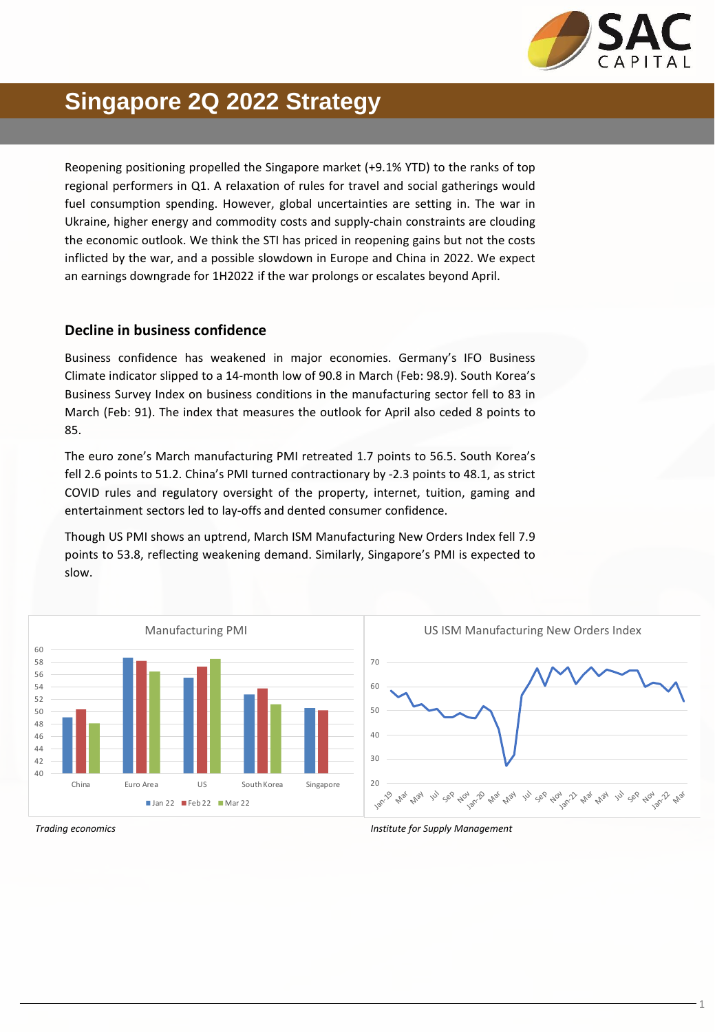

### **Singapore 2Q 2022 Strategy**

Reopening positioning propelled the Singapore market (+9.1% YTD) to the ranks of top regional performers in Q1. A relaxation of rules for travel and social gatherings would fuel consumption spending. However, global uncertainties are setting in. The war in Ukraine, higher energy and commodity costs and supply-chain constraints are clouding the economic outlook. We think the STI has priced in reopening gains but not the costs inflicted by the war, and a possible slowdown in Europe and China in 2022. We expect an earnings downgrade for 1H2022 if the war prolongs or escalates beyond April.

#### **Decline in business confidence**

Business confidence has weakened in major economies. Germany's IFO Business Climate indicator slipped to a 14-month low of 90.8 in March (Feb: 98.9). South Korea's Business Survey Index on business conditions in the manufacturing sector fell to 83 in March (Feb: 91). The index that measures the outlook for April also ceded 8 points to 85.

The euro zone's March manufacturing PMI retreated 1.7 points to 56.5. South Korea's fell 2.6 points to 51.2. China's PMI turned contractionary by -2.3 points to 48.1, as strict COVID rules and regulatory oversight of the property, internet, tuition, gaming and entertainment sectors led to lay-offs and dented consumer confidence.

Though US PMI shows an uptrend, March ISM Manufacturing New Orders Index fell 7.9 points to 53.8, reflecting weakening demand. Similarly, Singapore's PMI is expected to slow.



*Trading economics Institute for Supply Management*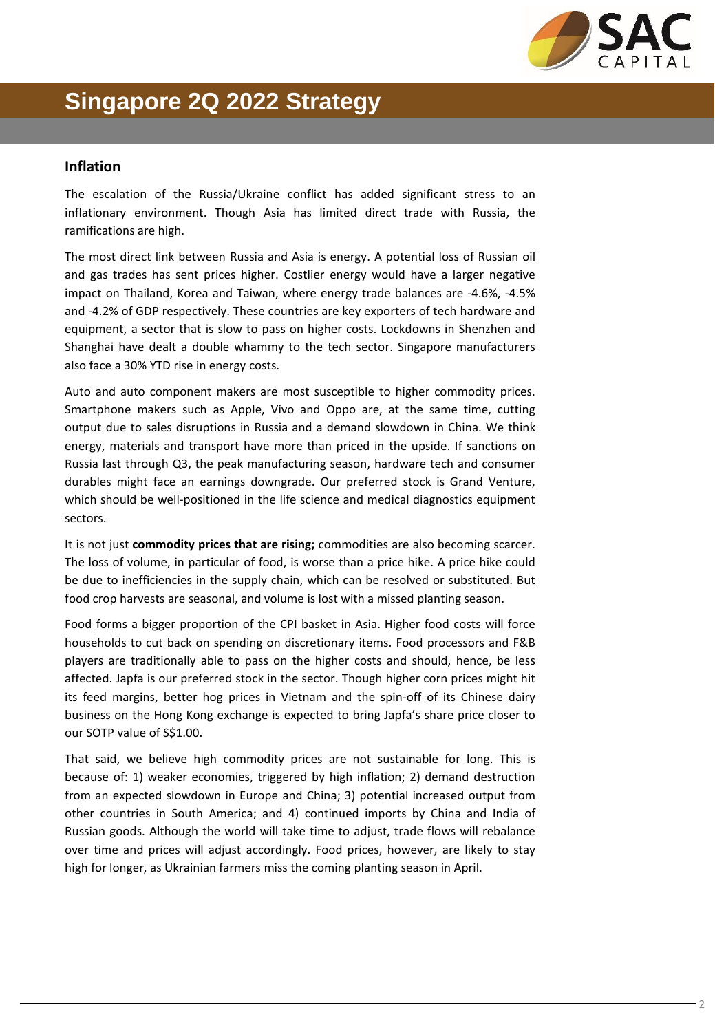

## **Singapore 2Q 2022 Strategy**

#### **Inflation**

The escalation of the Russia/Ukraine conflict has added significant stress to an inflationary environment. Though Asia has limited direct trade with Russia, the ramifications are high.

The most direct link between Russia and Asia is energy. A potential loss of Russian oil and gas trades has sent prices higher. Costlier energy would have a larger negative impact on Thailand, Korea and Taiwan, where energy trade balances are -4.6%, -4.5% and -4.2% of GDP respectively. These countries are key exporters of tech hardware and equipment, a sector that is slow to pass on higher costs. Lockdowns in Shenzhen and Shanghai have dealt a double whammy to the tech sector. Singapore manufacturers also face a 30% YTD rise in energy costs.

Auto and auto component makers are most susceptible to higher commodity prices. Smartphone makers such as Apple, Vivo and Oppo are, at the same time, cutting output due to sales disruptions in Russia and a demand slowdown in China. We think energy, materials and transport have more than priced in the upside. If sanctions on Russia last through Q3, the peak manufacturing season, hardware tech and consumer durables might face an earnings downgrade. Our preferred stock is Grand Venture, which should be well-positioned in the life science and medical diagnostics equipment sectors.

It is not just **commodity prices that are rising;** commodities are also becoming scarcer. The loss of volume, in particular of food, is worse than a price hike. A price hike could be due to inefficiencies in the supply chain, which can be resolved or substituted. But food crop harvests are seasonal, and volume is lost with a missed planting season.

Food forms a bigger proportion of the CPI basket in Asia. Higher food costs will force households to cut back on spending on discretionary items. Food processors and F&B players are traditionally able to pass on the higher costs and should, hence, be less affected. Japfa is our preferred stock in the sector. Though higher corn prices might hit its feed margins, better hog prices in Vietnam and the spin-off of its Chinese dairy business on the Hong Kong exchange is expected to bring Japfa's share price closer to our SOTP value of S\$1.00.

That said, we believe high commodity prices are not sustainable for long. This is because of: 1) weaker economies, triggered by high inflation; 2) demand destruction from an expected slowdown in Europe and China; 3) potential increased output from other countries in South America; and 4) continued imports by China and India of Russian goods. Although the world will take time to adjust, trade flows will rebalance over time and prices will adjust accordingly. Food prices, however, are likely to stay high for longer, as Ukrainian farmers miss the coming planting season in April.